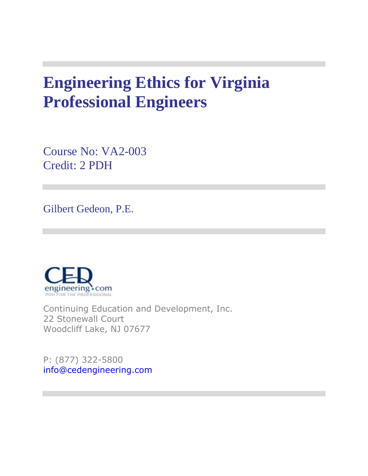# **Engineering Ethics for Virginia Professional Engineers**

Course No: VA2-003 Credit: 2 PDH

Gilbert Gedeon, P.E.



Continuing Education and Development, Inc. 22 Stonewall Court Woodcliff Lake, NJ 07677

P: (877) 322-5800 [info@cedengineering.com](mailto:info@cedengineering.com)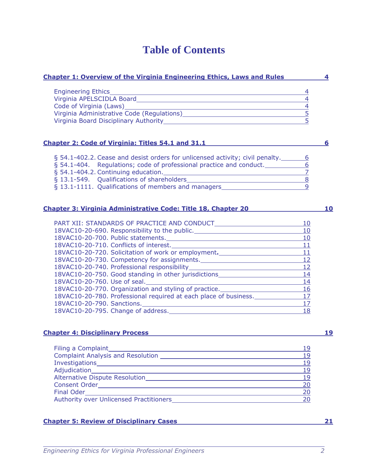### **Table of Contents**

| <b>Chapter 1: Overview of the Virginia Engineering Ethics, Laws and Rules</b>                                                                                                                                                  |                 | 4  |
|--------------------------------------------------------------------------------------------------------------------------------------------------------------------------------------------------------------------------------|-----------------|----|
| Engineering Ethics___________<br><u> 1989 - Johann Stein, marwolaethau a bhann an t-Amhair ann an t-Amhair an t-Amhair an t-Amhair an t-Amhair an</u>                                                                          |                 |    |
|                                                                                                                                                                                                                                | $\overline{4}$  |    |
|                                                                                                                                                                                                                                |                 |    |
| Virginia Administrative Code (Regulations)<br>Microsoft Administrative Code (Regulations)                                                                                                                                      | $\frac{4}{5}$   |    |
| Virginia Board Disciplinary Authority Management and Contact the Control of the Control of the Control of the Control of the Control of the Control of the Control of the Control of the Control of the Control of the Control | 5               |    |
|                                                                                                                                                                                                                                |                 |    |
| Chapter 2: Code of Virginia: Titles 54.1 and 31.1                                                                                                                                                                              |                 | 6  |
| § 54.1-402.2. Cease and desist orders for unlicensed activity; civil penalty. 6                                                                                                                                                |                 |    |
| § 54.1-404. Regulations; code of professional practice and conduct.                                                                                                                                                            | $\overline{6}$  |    |
|                                                                                                                                                                                                                                | $\overline{Z}$  |    |
|                                                                                                                                                                                                                                | $\frac{8}{8}$   |    |
| § 13.1-1111. Qualifications of members and managers_____________________________                                                                                                                                               | $\overline{q}$  |    |
|                                                                                                                                                                                                                                |                 |    |
| Chapter 3: Virginia Administrative Code: Title 18, Chapter 20                                                                                                                                                                  |                 | 10 |
|                                                                                                                                                                                                                                |                 |    |
|                                                                                                                                                                                                                                | 10              |    |
| 18VAC10-20-690. Responsibility to the public.                                                                                                                                                                                  | 10              |    |
| 18VAC10-20-700. Public statements. 10                                                                                                                                                                                          |                 |    |
|                                                                                                                                                                                                                                | 11              |    |
| 18VAC10-20-720. Solicitation of work or employment.                                                                                                                                                                            | 11<br>12        |    |
| 18VAC10-20-730. Competency for assignments.                                                                                                                                                                                    |                 |    |
|                                                                                                                                                                                                                                | 12              |    |
| 18VAC10-20-750. Good standing in other jurisdictions____________________________                                                                                                                                               | 14              |    |
|                                                                                                                                                                                                                                | 14              |    |
| 18VAC10-20-770. Organization and styling of practice.___________________________                                                                                                                                               | $\overline{16}$ |    |
| 18VAC10-20-780. Professional required at each place of business.                                                                                                                                                               | 17              |    |
|                                                                                                                                                                                                                                | 17              |    |
| 18VAC10-20-795. Change of address. The manufacturer of the state of the state of the state of the state of the                                                                                                                 | 18              |    |
|                                                                                                                                                                                                                                |                 |    |
| <b>Chapter 4: Disciplinary Process</b>                                                                                                                                                                                         |                 | 19 |
|                                                                                                                                                                                                                                |                 |    |

| Filing a Complaint                             | 19  |
|------------------------------------------------|-----|
| <b>Complaint Analysis and Resolution</b>       | 19  |
|                                                | 1 q |
| Adjudication Management Contractor             | -19 |
| Alternative Dispute Resolution                 | 19  |
| <b>Consent Order</b>                           | 20  |
|                                                | 20  |
| <b>Authority over Unlicensed Practitioners</b> | 20  |

#### **Chapter 5: Review of Disciplinary Cases 21**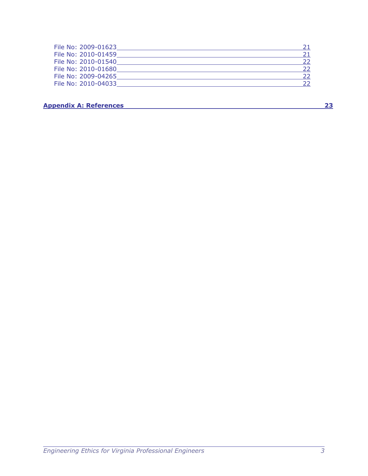| File No: 2009-01623 |  |
|---------------------|--|
| File No: 2010-01459 |  |
| File No: 2010-01540 |  |
| File No: 2010-01680 |  |
| File No: 2009-04265 |  |
| File No: 2010-04033 |  |

**Appendix A: References 23**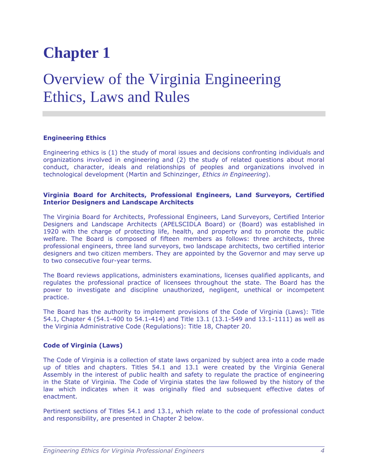### Overview of the Virginia Engineering Ethics, Laws and Rules

#### **Engineering Ethics**

Engineering ethics is (1) the study of moral issues and decisions confronting individuals and organizations involved in engineering and (2) the study of related questions about moral conduct, character, ideals and relationships of peoples and organizations involved in technological development (Martin and Schinzinger, *Ethics in Engineering*).

#### **Virginia Board for Architects, Professional Engineers, Land Surveyors, Certified Interior Designers and Landscape Architects**

The Virginia Board for Architects, Professional Engineers, Land Surveyors, Certified Interior Designers and Landscape Architects (APELSCIDLA Board) or (Board) was established in 1920 with the charge of protecting life, health, and property and to promote the public welfare. The Board is composed of fifteen members as follows: three architects, three professional engineers, three land surveyors, two landscape architects, two certified interior designers and two citizen members. They are appointed by the Governor and may serve up to two consecutive four-year terms.

The Board reviews applications, administers examinations, licenses qualified applicants, and regulates the professional practice of licensees throughout the state. The Board has the power to investigate and discipline unauthorized, negligent, unethical or incompetent practice.

The Board has the authority to implement provisions of the Code of Virginia (Laws): Title 54.1, Chapter 4 (54.1-400 to 54.1-414) and Title 13.1 (13.1-549 and 13.1-1111) as well as the Virginia Administrative Code (Regulations): Title 18, Chapter 20.

#### **Code of Virginia (Laws)**

The Code of Virginia is a collection of state laws organized by subject area into a code made up of titles and chapters. Titles 54.1 and 13.1 were created by the Virginia General Assembly in the interest of public health and safety to regulate the practice of engineering in the State of Virginia. The Code of Virginia states the law followed by the history of the law which indicates when it was originally filed and subsequent effective dates of enactment.

Pertinent sections of Titles 54.1 and 13.1, which relate to the code of professional conduct and responsibility, are presented in Chapter 2 below.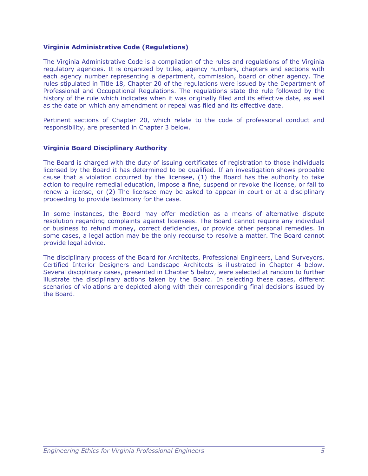#### **Virginia Administrative Code (Regulations)**

The Virginia Administrative Code is a compilation of the rules and regulations of the Virginia regulatory agencies. It is organized by titles, agency numbers, chapters and sections with each agency number representing a department, commission, board or other agency. The rules stipulated in Title 18, Chapter 20 of the regulations were issued by the Department of Professional and Occupational Regulations. The regulations state the rule followed by the history of the rule which indicates when it was originally filed and its effective date, as well as the date on which any amendment or repeal was filed and its effective date.

Pertinent sections of Chapter 20, which relate to the code of professional conduct and responsibility, are presented in Chapter 3 below.

#### **Virginia Board Disciplinary Authority**

The Board is charged with the duty of issuing certificates of registration to those individuals licensed by the Board it has determined to be qualified. If an investigation shows probable cause that a violation occurred by the licensee, (1) the Board has the authority to take action to require remedial education, impose a fine, suspend or revoke the license, or fail to renew a license, or (2) The licensee may be asked to appear in court or at a disciplinary proceeding to provide testimony for the case.

In some instances, the Board may offer mediation as a means of alternative dispute resolution regarding complaints against licensees. The Board cannot require any individual or business to refund money, correct deficiencies, or provide other personal remedies. In some cases, a legal action may be the only recourse to resolve a matter. The Board cannot provide legal advice.

The disciplinary process of the Board for Architects, Professional Engineers, Land Surveyors, Certified Interior Designers and Landscape Architects is illustrated in Chapter 4 below. Several disciplinary cases, presented in Chapter 5 below, were selected at random to further illustrate the disciplinary actions taken by the Board. In selecting these cases, different scenarios of violations are depicted along with their corresponding final decisions issued by the Board.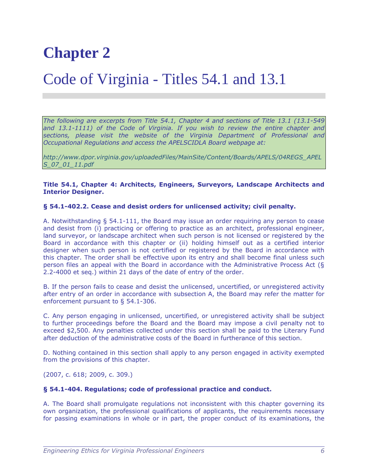### Code of Virginia - Titles 54.1 and 13.1

*The following are excerpts from Title 54.1, Chapter 4 and sections of Title 13.1 (13.1-549 and 13.1-1111) of the Code of Virginia. If you wish to review the entire chapter and sections, please visit the website of the Virginia Department of Professional and Occupational Regulations and access the APELSCIDLA Board webpage at:*

*[http://www.dpor.virginia.gov/uploadedFiles/MainSite/Content/Boards/APELS/04REGS\\_APEL](http://www.dpor.virginia.gov/uploadedFiles/MainSite/Content/Boards/APELS/04REGS_APELS_07_01_11.pdf) [S\\_07\\_01\\_11.pdf](http://www.dpor.virginia.gov/uploadedFiles/MainSite/Content/Boards/APELS/04REGS_APELS_07_01_11.pdf)*

#### **Title 54.1, Chapter 4: Architects, Engineers, Surveyors, Landscape Architects and Interior Designer.**

#### **§ 54.1-402.2. Cease and desist orders for unlicensed activity; civil penalty.**

A. Notwithstanding § [54.1-111,](http://leg1.state.va.us/cgi-bin/legp504.exe?000+cod+54.1-111) the Board may issue an order requiring any person to cease and desist from (i) practicing or offering to practice as an architect, professional engineer, land surveyor, or landscape architect when such person is not licensed or registered by the Board in accordance with this chapter or (ii) holding himself out as a certified interior designer when such person is not certified or registered by the Board in accordance with this chapter. The order shall be effective upon its entry and shall become final unless such person files an appeal with the Board in accordance with the Administrative Process Act (§ [2.2-4000](http://leg1.state.va.us/cgi-bin/legp504.exe?000+cod+2.2-4000) et seq.) within 21 days of the date of entry of the order.

B. If the person fails to cease and desist the unlicensed, uncertified, or unregistered activity after entry of an order in accordance with subsection A, the Board may refer the matter for enforcement pursuant to § [54.1-306.](http://leg1.state.va.us/cgi-bin/legp504.exe?000+cod+54.1-306)

C. Any person engaging in unlicensed, uncertified, or unregistered activity shall be subject to further proceedings before the Board and the Board may impose a civil penalty not to exceed \$2,500. Any penalties collected under this section shall be paid to the Literary Fund after deduction of the administrative costs of the Board in furtherance of this section.

D. Nothing contained in this section shall apply to any person engaged in activity exempted from the provisions of this chapter.

(2007, c. [618;](http://leg1.state.va.us/cgi-bin/legp504.exe?071+ful+CHAP0618) 2009, c. [309.](http://leg1.state.va.us/cgi-bin/legp504.exe?091+ful+CHAP0309))

#### **§ 54.1-404. Regulations; code of professional practice and conduct.**

A. The Board shall promulgate regulations not inconsistent with this chapter governing its own organization, the professional qualifications of applicants, the requirements necessary for passing examinations in whole or in part, the proper conduct of its examinations, the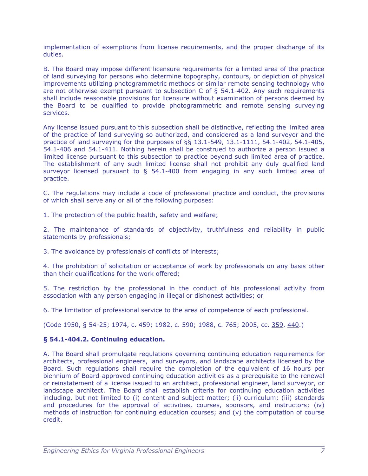implementation of exemptions from license requirements, and the proper discharge of its duties.

B. The Board may impose different licensure requirements for a limited area of the practice of land surveying for persons who determine topography, contours, or depiction of physical improvements utilizing photogrammetric methods or similar remote sensing technology who are not otherwise exempt pursuant to subsection C of  $\S$  [54.1-402.](http://leg1.state.va.us/cgi-bin/legp504.exe?000+cod+54.1-402) Any such requirements shall include reasonable provisions for licensure without examination of persons deemed by the Board to be qualified to provide photogrammetric and remote sensing surveying services.

Any license issued pursuant to this subsection shall be distinctive, reflecting the limited area of the practice of land surveying so authorized, and considered as a land surveyor and the practice of land surveying for the purposes of §§ [13.1-549,](http://leg1.state.va.us/cgi-bin/legp504.exe?000+cod+13.1-549) [13.1-1111,](http://leg1.state.va.us/cgi-bin/legp504.exe?000+cod+13.1-1111) [54.1-402,](http://leg1.state.va.us/cgi-bin/legp504.exe?000+cod+54.1-402) [54.1-405,](http://leg1.state.va.us/cgi-bin/legp504.exe?000+cod+54.1-405) [54.1-406](http://leg1.state.va.us/cgi-bin/legp504.exe?000+cod+54.1-406) and [54.1-411.](http://leg1.state.va.us/cgi-bin/legp504.exe?000+cod+54.1-411) Nothing herein shall be construed to authorize a person issued a limited license pursuant to this subsection to practice beyond such limited area of practice. The establishment of any such limited license shall not prohibit any duly qualified land surveyor licensed pursuant to  $\S$  [54.1-400](http://leg1.state.va.us/cgi-bin/legp504.exe?000+cod+54.1-400) from engaging in any such limited area of practice.

C. The regulations may include a code of professional practice and conduct, the provisions of which shall serve any or all of the following purposes:

1. The protection of the public health, safety and welfare;

2. The maintenance of standards of objectivity, truthfulness and reliability in public statements by professionals;

3. The avoidance by professionals of conflicts of interests;

4. The prohibition of solicitation or acceptance of work by professionals on any basis other than their qualifications for the work offered;

5. The restriction by the professional in the conduct of his professional activity from association with any person engaging in illegal or dishonest activities; or

6. The limitation of professional service to the area of competence of each professional.

(Code 1950, § 54-25; 1974, c. 459; 1982, c. 590; 1988, c. 765; 2005, cc. [359,](http://leg1.state.va.us/cgi-bin/legp504.exe?051+ful+CHAP0359) [440.](http://leg1.state.va.us/cgi-bin/legp504.exe?051+ful+CHAP0440))

#### **§ 54.1-404.2. Continuing education.**

A. The Board shall promulgate regulations governing continuing education requirements for architects, professional engineers, land surveyors, and landscape architects licensed by the Board. Such regulations shall require the completion of the equivalent of 16 hours per biennium of Board-approved continuing education activities as a prerequisite to the renewal or reinstatement of a license issued to an architect, professional engineer, land surveyor, or landscape architect. The Board shall establish criteria for continuing education activities including, but not limited to (i) content and subject matter; (ii) curriculum; (iii) standards and procedures for the approval of activities, courses, sponsors, and instructors; (iv) methods of instruction for continuing education courses; and (v) the computation of course credit.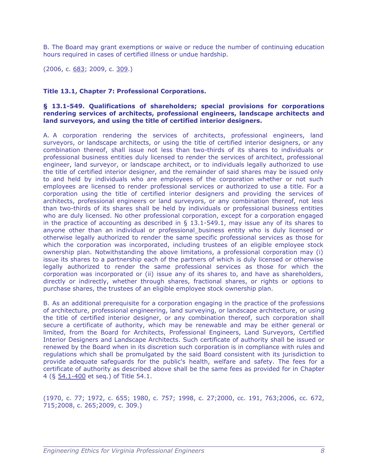B. The Board may grant exemptions or waive or reduce the number of continuing education hours required in cases of certified illness or undue hardship.

(2006, c. [683;](http://leg1.state.va.us/cgi-bin/legp504.exe?061+ful+CHAP0683) 2009, c. [309.](http://leg1.state.va.us/cgi-bin/legp504.exe?091+ful+CHAP0309))

#### **Title 13.1, Chapter 7: Professional Corporations.**

#### **§ 13.1-549. Qualifications of shareholders; special provisions for corporations rendering services of architects, professional engineers, landscape architects and land surveyors, and using the title of certified interior designers.**

A. A corporation rendering the services of architects, professional engineers, land surveyors, or landscape architects, or using the title of certified interior designers, or any combination thereof, shall issue not less than two-thirds of its shares to individuals or professional business entities duly licensed to render the services of architect, professional engineer, land surveyor, or landscape architect, or to individuals legally authorized to use the title of certified interior designer, and the remainder of said shares may be issued only to and held by individuals who are employees of the corporation whether or not such employees are licensed to render professional services or authorized to use a title. For a corporation using the title of certified interior designers and providing the services of architects, professional engineers or land surveyors, or any combination thereof, not less than two-thirds of its shares shall be held by individuals or professional business entities who are duly licensed. No other professional corporation, except for a corporation engaged in the practice of accounting as described in  $\S$  13.1-549.1, may issue any of its shares to anyone other than an individual or professional business entity who is duly licensed or otherwise legally authorized to render the same specific professional services as those for which the corporation was incorporated, including trustees of an eligible employee stock ownership plan. Notwithstanding the above limitations, a professional corporation may (i) issue its shares to a partnership each of the partners of which is duly licensed or otherwise legally authorized to render the same professional services as those for which the corporation was incorporated or (ii) issue any of its shares to, and have as shareholders, directly or indirectly, whether through shares, fractional shares, or rights or options to purchase shares, the trustees of an eligible employee stock ownership plan.

B. As an additional prerequisite for a corporation engaging in the practice of the professions of architecture, professional engineering, land surveying, or landscape architecture, or using the title of certified interior designer, or any combination thereof, such corporation shall secure a certificate of authority, which may be renewable and may be either general or limited, from the Board for Architects, Professional Engineers, Land Surveyors, Certified Interior Designers and Landscape Architects. Such certificate of authority shall be issued or renewed by the Board when in its discretion such corporation is in compliance with rules and regulations which shall be promulgated by the said Board consistent with its jurisdiction to provide adequate safeguards for the public's health, welfare and safety. The fees for a certificate of authority as described above shall be the same fees as provided for in Chapter 4 (§ 54.1-400 et seq.) of Title 54.1.

(1970, c. 77; 1972, c. 655; 1980, c. 757; 1998, c. 27;2000, cc. 191, 763;2006, cc. 672, 715;2008, c. 265;2009, c. 309.)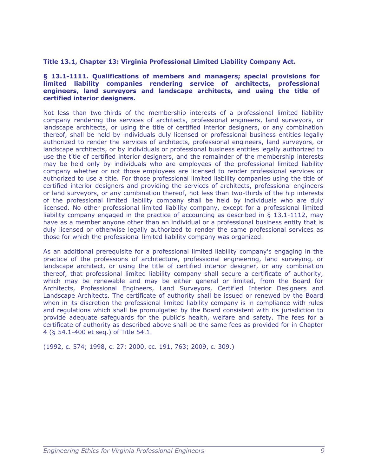#### **Title 13.1, Chapter 13: Virginia Professional Limited Liability Company Act.**

#### **§ 13.1-1111. Qualifications of members and managers; special provisions for limited liability companies rendering service of architects, professional engineers, land surveyors and landscape architects, and using the title of certified interior designers.**

Not less than two-thirds of the membership interests of a professional limited liability company rendering the services of architects, professional engineers, land surveyors, or landscape architects, or using the title of certified interior designers, or any combination thereof, shall be held by individuals duly licensed or professional business entities legally authorized to render the services of architects, professional engineers, land surveyors, or landscape architects, or by individuals or professional business entities legally authorized to use the title of certified interior designers, and the remainder of the membership interests may be held only by individuals who are employees of the professional limited liability company whether or not those employees are licensed to render professional services or authorized to use a title. For those professional limited liability companies using the title of certified interior designers and providing the services of architects, professional engineers or land surveyors, or any combination thereof, not less than two-thirds of the hip interests of the professional limited liability company shall be held by individuals who are duly licensed. No other professional limited liability company, except for a professional limited liability company engaged in the practice of accounting as described in § 13.1-1112, may have as a member anyone other than an individual or a professional business entity that is duly licensed or otherwise legally authorized to render the same professional services as those for which the professional limited liability company was organized.

As an additional prerequisite for a professional limited liability company's engaging in the practice of the professions of architecture, professional engineering, land surveying, or landscape architect, or using the title of certified interior designer, or any combination thereof, that professional limited liability company shall secure a certificate of authority, which may be renewable and may be either general or limited, from the Board for Architects, Professional Engineers, Land Surveyors, Certified Interior Designers and Landscape Architects. The certificate of authority shall be issued or renewed by the Board when in its discretion the professional limited liability company is in compliance with rules and regulations which shall be promulgated by the Board consistent with its jurisdiction to provide adequate safeguards for the public's health, welfare and safety. The fees for a certificate of authority as described above shall be the same fees as provided for in Chapter 4 (§ 54.1-400 et seq.) of Title 54.1.

(1992, c. 574; 1998, c. 27; 2000, cc. 191, 763; 2009, c. 309.)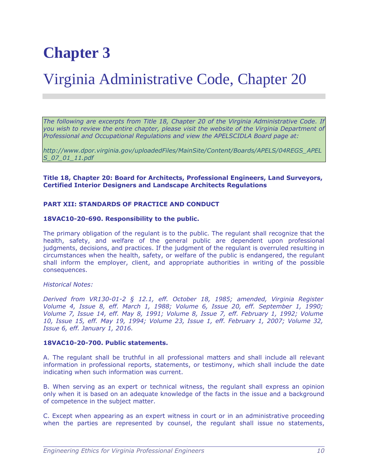### Virginia Administrative Code, Chapter 20

*The following are excerpts from Title 18, Chapter 20 of the Virginia Administrative Code. If you wish to review the entire chapter, please visit the website of the Virginia Department of Professional and Occupational Regulations and view the APELSCIDLA Board page at:*

*[http://www.dpor.virginia.gov/uploadedFiles/MainSite/Content/Boards/APELS/04REGS\\_APEL](http://www.dpor.virginia.gov/uploadedFiles/MainSite/Content/Boards/APELS/04REGS_APELS_07_01_11.pdf) [S\\_07\\_01\\_11.pdf](http://www.dpor.virginia.gov/uploadedFiles/MainSite/Content/Boards/APELS/04REGS_APELS_07_01_11.pdf)*

**Title 18, Chapter 20: Board for Architects, Professional Engineers, Land Surveyors, Certified Interior Designers and Landscape Architects Regulations**

#### **PART XII: STANDARDS OF PRACTICE AND CONDUCT**

#### **18VAC10-20-690. Responsibility to the public.**

The primary obligation of the regulant is to the public. The regulant shall recognize that the health, safety, and welfare of the general public are dependent upon professional judgments, decisions, and practices. If the judgment of the regulant is overruled resulting in circumstances when the health, safety, or welfare of the public is endangered, the regulant shall inform the employer, client, and appropriate authorities in writing of the possible consequences.

#### *Historical Notes:*

*Derived from VR130-01-2 § 12.1, eff. October 18, 1985; amended, Virginia Register Volume 4, Issue 8, eff. March 1, 1988; Volume 6, Issue 20, eff. September 1, 1990; Volume 7, Issue 14, eff. May 8, 1991; Volume 8, Issue 7, eff. February 1, 1992; Volume 10, Issue 15, eff. May 19, 1994; Volume 23, Issue 1, eff. February 1, 2007; Volume 32, Issue 6, eff. January 1, 2016.*

#### **18VAC10-20-700. Public statements.**

A. The regulant shall be truthful in all professional matters and shall include all relevant information in professional reports, statements, or testimony, which shall include the date indicating when such information was current.

B. When serving as an expert or technical witness, the regulant shall express an opinion only when it is based on an adequate knowledge of the facts in the issue and a background of competence in the subject matter.

C. Except when appearing as an expert witness in court or in an administrative proceeding when the parties are represented by counsel, the regulant shall issue no statements,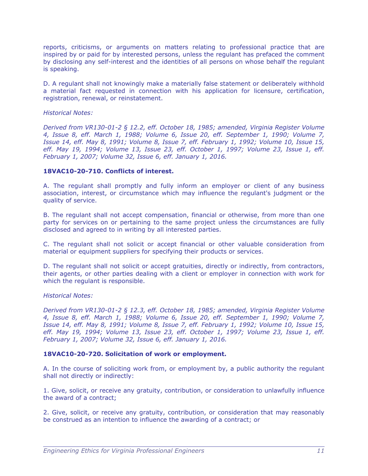reports, criticisms, or arguments on matters relating to professional practice that are inspired by or paid for by interested persons, unless the regulant has prefaced the comment by disclosing any self-interest and the identities of all persons on whose behalf the regulant is speaking.

D. A regulant shall not knowingly make a materially false statement or deliberately withhold a material fact requested in connection with his application for licensure, certification, registration, renewal, or reinstatement.

#### *Historical Notes:*

*Derived from VR130-01-2 § 12.2, eff. October 18, 1985; amended, Virginia Register Volume 4, Issue 8, eff. March 1, 1988; Volume 6, Issue 20, eff. September 1, 1990; Volume 7, Issue 14, eff. May 8, 1991; Volume 8, Issue 7, eff. February 1, 1992; Volume 10, Issue 15, eff. May 19, 1994; Volume 13, Issue 23, eff. October 1, 1997; Volume 23, Issue 1, eff. February 1, 2007; Volume 32, Issue 6, eff. January 1, 2016.*

#### **18VAC10-20-710. Conflicts of interest.**

A. The regulant shall promptly and fully inform an employer or client of any business association, interest, or circumstance which may influence the regulant's judgment or the quality of service.

B. The regulant shall not accept compensation, financial or otherwise, from more than one party for services on or pertaining to the same project unless the circumstances are fully disclosed and agreed to in writing by all interested parties.

C. The regulant shall not solicit or accept financial or other valuable consideration from material or equipment suppliers for specifying their products or services.

D. The regulant shall not solicit or accept gratuities, directly or indirectly, from contractors, their agents, or other parties dealing with a client or employer in connection with work for which the regulant is responsible.

#### *Historical Notes:*

*Derived from VR130-01-2 § 12.3, eff. October 18, 1985; amended, Virginia Register Volume 4, Issue 8, eff. March 1, 1988; Volume 6, Issue 20, eff. September 1, 1990; Volume 7, Issue 14, eff. May 8, 1991; Volume 8, Issue 7, eff. February 1, 1992; Volume 10, Issue 15, eff. May 19, 1994; Volume 13, Issue 23, eff. October 1, 1997; Volume 23, Issue 1, eff. February 1, 2007; Volume 32, Issue 6, eff. January 1, 2016.*

#### **18VAC10-20-720. Solicitation of work or employment.**

A. In the course of soliciting work from, or employment by, a public authority the regulant shall not directly or indirectly:

1. Give, solicit, or receive any gratuity, contribution, or consideration to unlawfully influence the award of a contract;

2. Give, solicit, or receive any gratuity, contribution, or consideration that may reasonably be construed as an intention to influence the awarding of a contract; or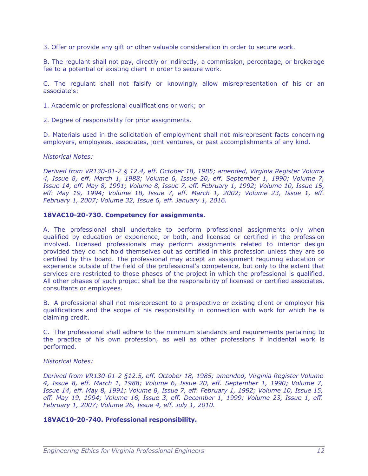3. Offer or provide any gift or other valuable consideration in order to secure work.

B. The regulant shall not pay, directly or indirectly, a commission, percentage, or brokerage fee to a potential or existing client in order to secure work.

C. The regulant shall not falsify or knowingly allow misrepresentation of his or an associate's:

1. Academic or professional qualifications or work; or

2. Degree of responsibility for prior assignments.

D. Materials used in the solicitation of employment shall not misrepresent facts concerning employers, employees, associates, joint ventures, or past accomplishments of any kind.

#### *Historical Notes:*

*Derived from VR130-01-2 § 12.4, eff. October 18, 1985; amended, Virginia Register Volume 4, Issue 8, eff. March 1, 1988; Volume 6, Issue 20, eff. September 1, 1990; Volume 7, Issue 14, eff. May 8, 1991; Volume 8, Issue 7, eff. February 1, 1992; Volume 10, Issue 15, eff. May 19, 1994; Volume 18, Issue 7, eff. March 1, 2002; Volume 23, Issue 1, eff. February 1, 2007; Volume 32, Issue 6, eff. January 1, 2016.*

#### **18VAC10-20-730. Competency for assignments.**

A. The professional shall undertake to perform professional assignments only when qualified by education or experience, or both, and licensed or certified in the profession involved. Licensed professionals may perform assignments related to interior design provided they do not hold themselves out as certified in this profession unless they are so certified by this board. The professional may accept an assignment requiring education or experience outside of the field of the professional's competence, but only to the extent that services are restricted to those phases of the project in which the professional is qualified. All other phases of such project shall be the responsibility of licensed or certified associates, consultants or employees.

B. A professional shall not misrepresent to a prospective or existing client or employer his qualifications and the scope of his responsibility in connection with work for which he is claiming credit.

C. The professional shall adhere to the minimum standards and requirements pertaining to the practice of his own profession, as well as other professions if incidental work is performed.

#### *Historical Notes:*

*Derived from VR130-01-2 §12.5, eff. October 18, 1985; amended, Virginia Register Volume 4, Issue 8, eff. March 1, 1988; Volume 6, Issue 20, eff. September 1, 1990; Volume 7, Issue 14, eff. May 8, 1991; Volume 8, Issue 7, eff. February 1, 1992; Volume 10, Issue 15, eff. May 19, 1994; Volume 16, Issue 3, eff. December 1, 1999; Volume 23, Issue 1, eff. February 1, 2007; Volume 26, Issue 4, eff. July 1, 2010.*

#### **18VAC10-20-740. Professional responsibility.**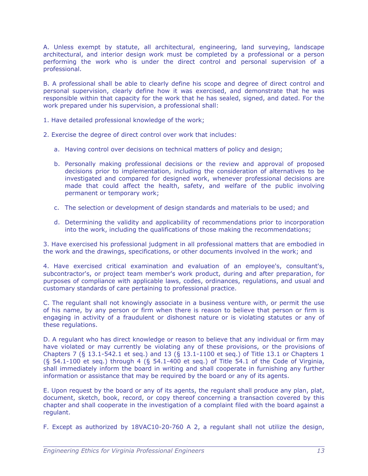A. Unless exempt by statute, all architectural, engineering, land surveying, landscape architectural, and interior design work must be completed by a professional or a person performing the work who is under the direct control and personal supervision of a professional.

B. A professional shall be able to clearly define his scope and degree of direct control and personal supervision, clearly define how it was exercised, and demonstrate that he was responsible within that capacity for the work that he has sealed, signed, and dated. For the work prepared under his supervision, a professional shall:

1. Have detailed professional knowledge of the work;

- 2. Exercise the degree of direct control over work that includes:
	- a. Having control over decisions on technical matters of policy and design;
	- b. Personally making professional decisions or the review and approval of proposed decisions prior to implementation, including the consideration of alternatives to be investigated and compared for designed work, whenever professional decisions are made that could affect the health, safety, and welfare of the public involving permanent or temporary work;
	- c. The selection or development of design standards and materials to be used; and
	- d. Determining the validity and applicability of recommendations prior to incorporation into the work, including the qualifications of those making the recommendations;

3. Have exercised his professional judgment in all professional matters that are embodied in the work and the drawings, specifications, or other documents involved in the work; and

4. Have exercised critical examination and evaluation of an employee's, consultant's, subcontractor's, or project team member's work product, during and after preparation, for purposes of compliance with applicable laws, codes, ordinances, regulations, and usual and customary standards of care pertaining to professional practice.

C. The regulant shall not knowingly associate in a business venture with, or permit the use of his name, by any person or firm when there is reason to believe that person or firm is engaging in activity of a fraudulent or dishonest nature or is violating statutes or any of these regulations.

D. A regulant who has direct knowledge or reason to believe that any individual or firm may have violated or may currently be violating any of these provisions, or the provisions of Chapters 7 (§ 13.1-542.1 et seq.) and 13 (§ 13.1-1100 et seq.) of Title 13.1 or Chapters 1 (§ 54.1-100 et seq.) through 4 (§ 54.1-400 et seq.) of Title 54.1 of the Code of Virginia, shall immediately inform the board in writing and shall cooperate in furnishing any further information or assistance that may be required by the board or any of its agents.

E. Upon request by the board or any of its agents, the regulant shall produce any plan, plat, document, sketch, book, record, or copy thereof concerning a transaction covered by this chapter and shall cooperate in the investigation of a complaint filed with the board against a regulant.

F. Except as authorized by 18VAC10-20-760 A 2, a regulant shall not utilize the design,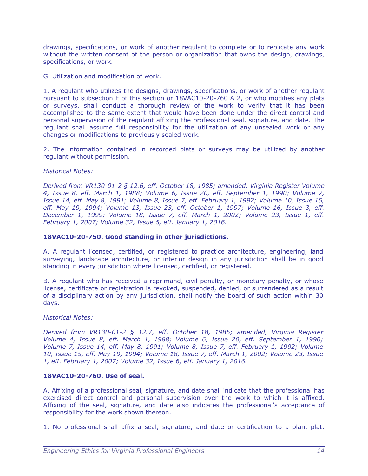drawings, specifications, or work of another regulant to complete or to replicate any work without the written consent of the person or organization that owns the design, drawings, specifications, or work.

G. Utilization and modification of work.

1. A regulant who utilizes the designs, drawings, specifications, or work of another regulant pursuant to subsection F of this section or 18VAC10-20-760 A 2, or who modifies any plats or surveys, shall conduct a thorough review of the work to verify that it has been accomplished to the same extent that would have been done under the direct control and personal supervision of the regulant affixing the professional seal, signature, and date. The regulant shall assume full responsibility for the utilization of any unsealed work or any changes or modifications to previously sealed work.

2. The information contained in recorded plats or surveys may be utilized by another regulant without permission.

#### *Historical Notes:*

*Derived from VR130-01-2 § 12.6, eff. October 18, 1985; amended, Virginia Register Volume 4, Issue 8, eff. March 1, 1988; Volume 6, Issue 20, eff. September 1, 1990; Volume 7, Issue 14, eff. May 8, 1991; Volume 8, Issue 7, eff. February 1, 1992; Volume 10, Issue 15, eff. May 19, 1994; Volume 13, Issue 23, eff. October 1, 1997; Volume 16, Issue 3, eff. December 1, 1999; Volume 18, Issue 7, eff. March 1, 2002; Volume 23, Issue 1, eff. February 1, 2007; Volume 32, Issue 6, eff. January 1, 2016.*

#### **18VAC10-20-750. Good standing in other jurisdictions.**

A. A regulant licensed, certified, or registered to practice architecture, engineering, land surveying, landscape architecture, or interior design in any jurisdiction shall be in good standing in every jurisdiction where licensed, certified, or registered.

B. A regulant who has received a reprimand, civil penalty, or monetary penalty, or whose license, certificate or registration is revoked, suspended, denied, or surrendered as a result of a disciplinary action by any jurisdiction, shall notify the board of such action within 30 days.

#### *Historical Notes:*

*Derived from VR130-01-2 § 12.7, eff. October 18, 1985; amended, Virginia Register Volume 4, Issue 8, eff. March 1, 1988; Volume 6, Issue 20, eff. September 1, 1990; Volume 7, Issue 14, eff. May 8, 1991; Volume 8, Issue 7, eff. February 1, 1992; Volume 10, Issue 15, eff. May 19, 1994; Volume 18, Issue 7, eff. March 1, 2002; Volume 23, Issue 1, eff. February 1, 2007; Volume 32, Issue 6, eff. January 1, 2016.*

#### **18VAC10-20-760. Use of seal.**

A. Affixing of a professional seal, signature, and date shall indicate that the professional has exercised direct control and personal supervision over the work to which it is affixed. Affixing of the seal, signature, and date also indicates the professional's acceptance of responsibility for the work shown thereon.

1. No professional shall affix a seal, signature, and date or certification to a plan, plat,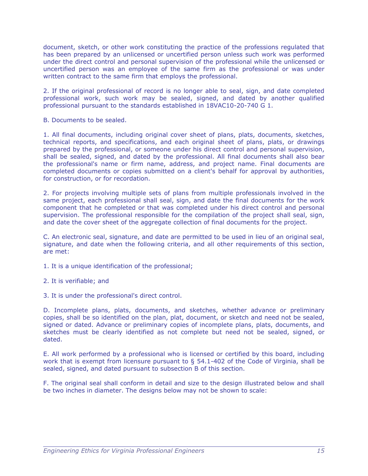document, sketch, or other work constituting the practice of the professions regulated that has been prepared by an unlicensed or uncertified person unless such work was performed under the direct control and personal supervision of the professional while the unlicensed or uncertified person was an employee of the same firm as the professional or was under written contract to the same firm that employs the professional.

2. If the original professional of record is no longer able to seal, sign, and date completed professional work, such work may be sealed, signed, and dated by another qualified professional pursuant to the standards established in 18VAC10-20-740 G 1.

B. Documents to be sealed.

1. All final documents, including original cover sheet of plans, plats, documents, sketches, technical reports, and specifications, and each original sheet of plans, plats, or drawings prepared by the professional, or someone under his direct control and personal supervision, shall be sealed, signed, and dated by the professional. All final documents shall also bear the professional's name or firm name, address, and project name. Final documents are completed documents or copies submitted on a client's behalf for approval by authorities, for construction, or for recordation.

2. For projects involving multiple sets of plans from multiple professionals involved in the same project, each professional shall seal, sign, and date the final documents for the work component that he completed or that was completed under his direct control and personal supervision. The professional responsible for the compilation of the project shall seal, sign, and date the cover sheet of the aggregate collection of final documents for the project.

C. An electronic seal, signature, and date are permitted to be used in lieu of an original seal, signature, and date when the following criteria, and all other requirements of this section, are met:

1. It is a unique identification of the professional;

2. It is verifiable; and

3. It is under the professional's direct control.

D. Incomplete plans, plats, documents, and sketches, whether advance or preliminary copies, shall be so identified on the plan, plat, document, or sketch and need not be sealed, signed or dated. Advance or preliminary copies of incomplete plans, plats, documents, and sketches must be clearly identified as not complete but need not be sealed, signed, or dated.

E. All work performed by a professional who is licensed or certified by this board, including work that is exempt from licensure pursuant to  $\S$  54.1-402 of the Code of Virginia, shall be sealed, signed, and dated pursuant to subsection B of this section.

F. The original seal shall conform in detail and size to the design illustrated below and shall be two inches in diameter. The designs below may not be shown to scale: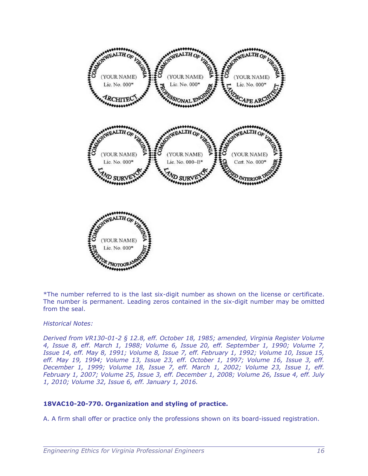

\*The number referred to is the last six-digit number as shown on the license or certificate. The number is permanent. Leading zeros contained in the six-digit number may be omitted from the seal.

#### *Historical Notes:*

*Derived from VR130-01-2 § 12.8, eff. October 18, 1985; amended, Virginia Register Volume 4, Issue 8, eff. March 1, 1988; Volume 6, Issue 20, eff. September 1, 1990; Volume 7, Issue 14, eff. May 8, 1991; Volume 8, Issue 7, eff. February 1, 1992; Volume 10, Issue 15, eff. May 19, 1994; Volume 13, Issue 23, eff. October 1, 1997; Volume 16, Issue 3, eff. December 1, 1999; Volume 18, Issue 7, eff. March 1, 2002; Volume 23, Issue 1, eff. February 1, 2007; Volume 25, Issue 3, eff. December 1, 2008; Volume 26, Issue 4, eff. July 1, 2010; Volume 32, Issue 6, eff. January 1, 2016.*

#### **18VAC10-20-770. Organization and styling of practice.**

A. A firm shall offer or practice only the professions shown on its board-issued registration.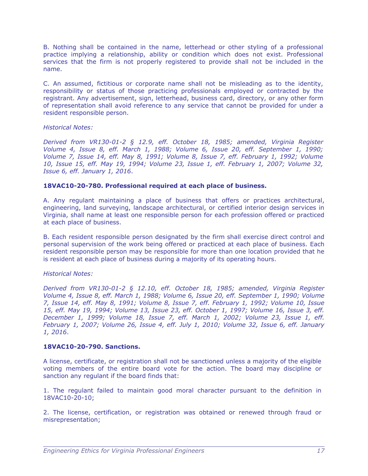B. Nothing shall be contained in the name, letterhead or other styling of a professional practice implying a relationship, ability or condition which does not exist. Professional services that the firm is not properly registered to provide shall not be included in the name.

C. An assumed, fictitious or corporate name shall not be misleading as to the identity, responsibility or status of those practicing professionals employed or contracted by the registrant. Any advertisement, sign, letterhead, business card, directory, or any other form of representation shall avoid reference to any service that cannot be provided for under a resident responsible person.

#### *Historical Notes:*

*Derived from VR130-01-2 § 12.9, eff. October 18, 1985; amended, Virginia Register Volume 4, Issue 8, eff. March 1, 1988; Volume 6, Issue 20, eff. September 1, 1990; Volume 7, Issue 14, eff. May 8, 1991; Volume 8, Issue 7, eff. February 1, 1992; Volume 10, Issue 15, eff. May 19, 1994; Volume 23, Issue 1, eff. February 1, 2007; Volume 32, Issue 6, eff. January 1, 2016*.

#### **18VAC10-20-780. Professional required at each place of business.**

A. Any regulant maintaining a place of business that offers or practices architectural, engineering, land surveying, landscape architectural, or certified interior design services in Virginia, shall name at least one responsible person for each profession offered or practiced at each place of business.

B. Each resident responsible person designated by the firm shall exercise direct control and personal supervision of the work being offered or practiced at each place of business. Each resident responsible person may be responsible for more than one location provided that he is resident at each place of business during a majority of its operating hours.

#### *Historical Notes:*

*Derived from VR130-01-2 § 12.10, eff. October 18, 1985; amended, Virginia Register Volume 4, Issue 8, eff. March 1, 1988; Volume 6, Issue 20, eff. September 1, 1990; Volume 7, Issue 14, eff. May 8, 1991; Volume 8, Issue 7, eff. February 1, 1992; Volume 10, Issue 15, eff. May 19, 1994; Volume 13, Issue 23, eff. October 1, 1997; Volume 16, Issue 3, eff. December 1, 1999; Volume 18, Issue 7, eff. March 1, 2002; Volume 23, Issue 1, eff. February 1, 2007; Volume 26, Issue 4, eff. July 1, 2010; Volume 32, Issue 6, eff. January 1, 2016*.

#### **18VAC10-20-790. Sanctions.**

A license, certificate, or registration shall not be sanctioned unless a majority of the eligible voting members of the entire board vote for the action. The board may discipline or sanction any regulant if the board finds that:

1. The regulant failed to maintain good moral character pursuant to the definition in 18VAC10-20-10;

2. The license, certification, or registration was obtained or renewed through fraud or misrepresentation;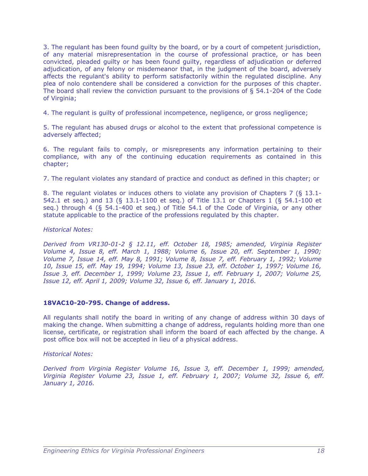3. The regulant has been found guilty by the board, or by a court of competent jurisdiction, of any material misrepresentation in the course of professional practice, or has been convicted, pleaded guilty or has been found guilty, regardless of adjudication or deferred adjudication, of any felony or misdemeanor that, in the judgment of the board, adversely affects the regulant's ability to perform satisfactorily within the regulated discipline. Any plea of nolo contendere shall be considered a conviction for the purposes of this chapter. The board shall review the conviction pursuant to the provisions of § 54.1-204 of the Code of Virginia;

4. The regulant is guilty of professional incompetence, negligence, or gross negligence;

5. The regulant has abused drugs or alcohol to the extent that professional competence is adversely affected;

6. The regulant fails to comply, or misrepresents any information pertaining to their compliance, with any of the continuing education requirements as contained in this chapter;

7. The regulant violates any standard of practice and conduct as defined in this chapter; or

8. The regulant violates or induces others to violate any provision of Chapters 7 (§ 13.1- 542.1 et seq.) and 13 (§ 13.1-1100 et seq.) of Title 13.1 or Chapters 1 (§ 54.1-100 et seq.) through 4 (§ 54.1-400 et seq.) of Title 54.1 of the Code of Virginia, or any other statute applicable to the practice of the professions regulated by this chapter.

#### *Historical Notes:*

*Derived from VR130-01-2 § 12.11, eff. October 18, 1985; amended, Virginia Register Volume 4, Issue 8, eff. March 1, 1988; Volume 6, Issue 20, eff. September 1, 1990; Volume 7, Issue 14, eff. May 8, 1991; Volume 8, Issue 7, eff. February 1, 1992; Volume 10, Issue 15, eff. May 19, 1994; Volume 13, Issue 23, eff. October 1, 1997; Volume 16, Issue 3, eff. December 1, 1999; Volume 23, Issue 1, eff. February 1, 2007; Volume 25, Issue 12, eff. April 1, 2009; Volume 32, Issue 6, eff. January 1, 2016.*

#### **18VAC10-20-795. Change of address.**

All regulants shall notify the board in writing of any change of address within 30 days of making the change. When submitting a change of address, regulants holding more than one license, certificate, or registration shall inform the board of each affected by the change. A post office box will not be accepted in lieu of a physical address.

#### *Historical Notes:*

*Derived from Virginia Register Volume 16, Issue 3, eff. December 1, 1999; amended, Virginia Register Volume 23, Issue 1, eff. February 1, 2007; Volume 32, Issue 6, eff. January 1, 2016.*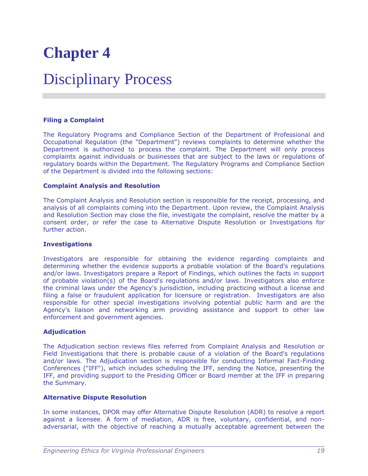### Disciplinary Process

#### **Filing a Complaint**

The Regulatory Programs and Compliance Section of the Department of Professional and Occupational Regulation (the "Department") reviews complaints to determine whether the Department is authorized to process the complaint. The Department will only process complaints against individuals or businesses that are subject to the laws or regulations of regulatory boards within the Department. The Regulatory Programs and Compliance Section of the Department is divided into the following sections:

#### **Complaint Analysis and Resolution**

The Complaint Analysis and Resolution section is responsible for the receipt, processing, and analysis of all complaints coming into the Department. Upon review, the Complaint Analysis and Resolution Section may close the file, investigate the complaint, resolve the matter by a consent order, or refer the case to Alternative Dispute Resolution or Investigations for further action.

#### **Investigations**

Investigators are responsible for obtaining the evidence regarding complaints and determining whether the evidence supports a probable violation of the Board's regulations and/or laws. Investigators prepare a Report of Findings, which outlines the facts in support of probable violation(s) of the Board's regulations and/or laws. Investigators also enforce the criminal laws under the Agency's jurisdiction, including practicing without a license and filing a false or fraudulent application for licensure or registration. Investigators are also responsible for other special investigations involving potential public harm and are the Agency's liaison and networking arm providing assistance and support to other law enforcement and government agencies.

#### **Adjudication**

The Adjudication section reviews files referred from Complaint Analysis and Resolution or Field Investigations that there is probable cause of a violation of the Board's regulations and/or laws. The Adjudication section is responsible for conducting Informal Fact-Finding Conferences ("IFF"), which includes scheduling the IFF, sending the Notice, presenting the IFF, and providing support to the Presiding Officer or Board member at the IFF in preparing the Summary.

#### **Alternative Dispute Resolution**

In some instances, DPOR may offer Alternative Dispute Resolution (ADR) to resolve a report against a licensee. A form of mediation, ADR is free, voluntary, confidential, and nonadversarial, with the objective of reaching a mutually acceptable agreement between the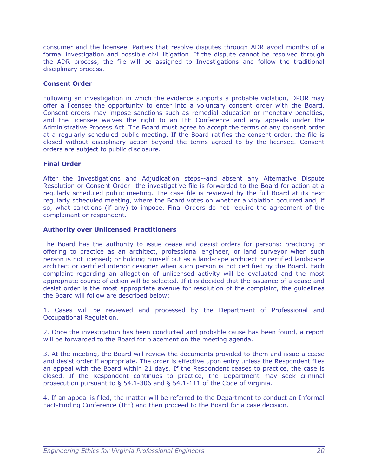consumer and the licensee. Parties that resolve disputes through ADR avoid months of a formal investigation and possible civil litigation. If the dispute cannot be resolved through the ADR process, the file will be assigned to Investigations and follow the traditional disciplinary process.

#### **Consent Order**

Following an investigation in which the evidence supports a probable violation, DPOR may offer a licensee the opportunity to enter into a voluntary consent order with the Board. Consent orders may impose sanctions such as remedial education or monetary penalties, and the licensee waives the right to an IFF Conference and any appeals under the Administrative Process Act. The Board must agree to accept the terms of any consent order at a regularly scheduled public meeting. If the Board ratifies the consent order, the file is closed without disciplinary action beyond the terms agreed to by the licensee. Consent orders are subject to public disclosure.

#### **Final Order**

After the Investigations and Adjudication steps--and absent any Alternative Dispute Resolution or Consent Order--the investigative file is forwarded to the Board for action at a regularly scheduled public meeting. The case file is reviewed by the full Board at its next regularly scheduled meeting, where the Board votes on whether a violation occurred and, if so, what sanctions (if any) to impose. Final Orders do not require the agreement of the complainant or respondent.

#### **Authority over Unlicensed Practitioners**

The Board has the authority to issue cease and desist orders for persons: practicing or offering to practice as an architect, professional engineer, or land surveyor when such person is not licensed; or holding himself out as a landscape architect or certified landscape architect or certified interior designer when such person is not certified by the Board. Each complaint regarding an allegation of unlicensed activity will be evaluated and the most appropriate course of action will be selected. If it is decided that the issuance of a cease and desist order is the most appropriate avenue for resolution of the complaint, the guidelines the Board will follow are described below:

1. Cases will be reviewed and processed by the Department of Professional and Occupational Regulation.

2. Once the investigation has been conducted and probable cause has been found, a report will be forwarded to the Board for placement on the meeting agenda.

3. At the meeting, the Board will review the documents provided to them and issue a cease and desist order if appropriate. The order is effective upon entry unless the Respondent files an appeal with the Board within 21 days. If the Respondent ceases to practice, the case is closed. If the Respondent continues to practice, the Department may seek criminal prosecution pursuant to § 54.1-306 and § 54.1-111 of the Code of Virginia.

4. If an appeal is filed, the matter will be referred to the Department to conduct an Informal Fact-Finding Conference (IFF) and then proceed to the Board for a case decision.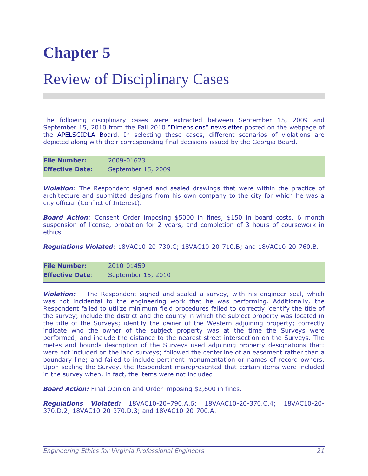### Review of Disciplinary Cases

The following disciplinary cases were extracted between September 15, 2009 and September 15, 2010 from the Fall 2010 "Dimensions" newsletter posted on the webpage of the APELSCIDLA Board. In selecting these cases, different scenarios of violations are depicted along with their corresponding final decisions issued by the Georgia Board.

| <b>File Number:</b>    | 2009-01623         |
|------------------------|--------------------|
| <b>Effective Date:</b> | September 15, 2009 |

**Violation**: The Respondent signed and sealed drawings that were within the practice of architecture and submitted designs from his own company to the city for which he was a city official (Conflict of Interest).

**Board Action**: Consent Order imposing \$5000 in fines, \$150 in board costs, 6 month suspension of license, probation for 2 years, and completion of 3 hours of coursework in ethics.

*Regulations Violated:* 18VAC10-20-730.C; 18VAC10-20-710.B; and 18VAC10-20-760.B.

**File Number:** 2010-01459 **Effective Date**: September 15, 2010

**Violation:** The Respondent signed and sealed a survey, with his engineer seal, which was not incidental to the engineering work that he was performing. Additionally, the Respondent failed to utilize minimum field procedures failed to correctly identify the title of the survey; include the district and the county in which the subject property was located in the title of the Surveys; identify the owner of the Western adjoining property; correctly indicate who the owner of the subject property was at the time the Surveys were performed; and include the distance to the nearest street intersection on the Surveys. The metes and bounds description of the Surveys used adjoining property designations that: were not included on the land surveys; followed the centerline of an easement rather than a boundary line; and failed to include pertinent monumentation or names of record owners. Upon sealing the Survey, the Respondent misrepresented that certain items were included in the survey when, in fact, the items were not included.

**Board Action:** Final Opinion and Order imposing \$2,600 in fines.

*Regulations Violated:* 18VAC10-20–790.A.6; 18VAAC10-20-370.C.4; 18VAC10-20- 370.D.2; 18VAC10-20-370.D.3; and 18VAC10-20-700.A.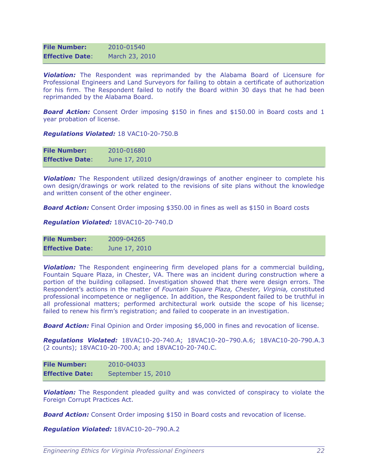| <b>File Number:</b>    | 2010-01540     |
|------------------------|----------------|
| <b>Effective Date:</b> | March 23, 2010 |

*Violation:* The Respondent was reprimanded by the Alabama Board of Licensure for Professional Engineers and Land Surveyors for failing to obtain a certificate of authorization for his firm. The Respondent failed to notify the Board within 30 days that he had been reprimanded by the Alabama Board.

**Board Action:** Consent Order imposing \$150 in fines and \$150.00 in Board costs and 1 year probation of license.

*Regulations Violated:* 18 VAC10-20-750.B

| <b>File Number:</b>    | 2010-01680    |
|------------------------|---------------|
| <b>Effective Date:</b> | June 17, 2010 |

**Violation:** The Respondent utilized design/drawings of another engineer to complete his own design/drawings or work related to the revisions of site plans without the knowledge and written consent of the other engineer.

**Board Action:** Consent Order imposing \$350.00 in fines as well as \$150 in Board costs

*Regulation Violated:* 18VAC10-20-740.D

| <b>File Number:</b>    | 2009-04265    |
|------------------------|---------------|
| <b>Effective Date:</b> | June 17, 2010 |

**Violation:** The Respondent engineering firm developed plans for a commercial building, Fountain Square Plaza, in Chester, VA. There was an incident during construction where a portion of the building collapsed. Investigation showed that there were design errors. The Respondent's actions in the matter of *Fountain Square Plaza, Chester, Virginia,* constituted professional incompetence or negligence. In addition, the Respondent failed to be truthful in all professional matters; performed architectural work outside the scope of his license; failed to renew his firm's registration; and failed to cooperate in an investigation.

**Board Action:** Final Opinion and Order imposing \$6,000 in fines and revocation of license.

*Regulations Violated:* 18VAC10-20-740.A; 18VAC10-20–790.A.6; 18VAC10-20-790.A.3 (2 counts); 18VAC10-20-700.A; and 18VAC10-20-740.C.

| <b>File Number:</b>    | 2010-04033         |
|------------------------|--------------------|
| <b>Effective Date:</b> | September 15, 2010 |

**Violation:** The Respondent pleaded guilty and was convicted of conspiracy to violate the Foreign Corrupt Practices Act.

**Board Action:** Consent Order imposing \$150 in Board costs and revocation of license.

*Regulation Violated:* 18VAC10-20–790.A.2